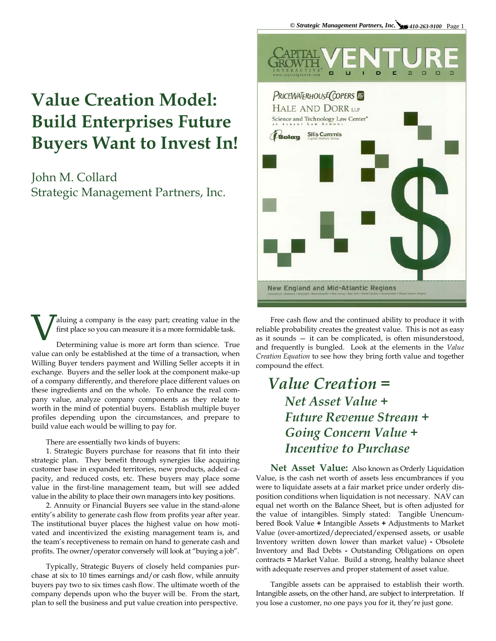## **Value Creation Model: Build Enterprises Future Buyers Want to Invest In!**

John M. Collard Strategic Management Partners, Inc.



aluing a company is the easy part; creating value in the first place so you can measure it is a more formidable task.

Determining value is more art form than science. True value can only be established at the time of a transaction, when Willing Buyer tenders payment and Willing Seller accepts it in exchange. Buyers and the seller look at the component make-up of a company differently, and therefore place different values on these ingredients and on the whole. To enhance the real company value, analyze company components as they relate to worth in the mind of potential buyers. Establish multiple buyer profiles depending upon the circumstances, and prepare to build value each would be willing to pay for.

## There are essentially two kinds of buyers:

1. Strategic Buyers purchase for reasons that fit into their strategic plan. They benefit through synergies like acquiring customer base in expanded territories, new products, added capacity, and reduced costs, etc. These buyers may place some value in the first-line management team, but will see added value in the ability to place their own managers into key positions.

2. Annuity or Financial Buyers see value in the stand-alone entity's ability to generate cash flow from profits year after year. The institutional buyer places the highest value on how motivated and incentivized the existing management team is, and the team's receptiveness to remain on hand to generate cash and profits. The owner/operator conversely will look at "buying a job".

Typically, Strategic Buyers of closely held companies purchase at six to 10 times earnings and/or cash flow, while annuity buyers pay two to six times cash flow. The ultimate worth of the company depends upon who the buyer will be. From the start, plan to sell the business and put value creation into perspective.

Free cash flow and the continued ability to produce it with reliable probability creates the greatest value. This is not as easy as it sounds — it can be complicated, is often misunderstood, and frequently is bungled. Look at the elements in the *Value Creation Equation* to see how they bring forth value and together compound the effect.

## *Value Creation = Net Asset Value + Future Revenue Stream + Going Concern Value + Incentive to Purchase*

**Net Asset Value:** Also known as Orderly Liquidation Value, is the cash net worth of assets less encumbrances if you were to liquidate assets at a fair market price under orderly disposition conditions when liquidation is not necessary. NAV can equal net worth on the Balance Sheet, but is often adjusted for the value of intangibles. Simply stated: Tangible Unencumbered Book Value **+** Intangible Assets **+** Adjustments to Market Value (over-amortized/depreciated/expensed assets, or usable Inventory written down lower than market value) **-** Obsolete Inventory and Bad Debts **-** Outstanding Obligations on open contracts **=** Market Value. Build a strong, healthy balance sheet with adequate reserves and proper statement of asset value.

Tangible assets can be appraised to establish their worth. Intangible assets, on the other hand, are subject to interpretation. If you lose a customer, no one pays you for it, they're just gone.